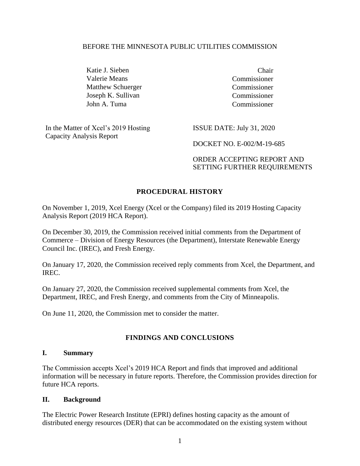#### BEFORE THE MINNESOTA PUBLIC UTILITIES COMMISSION

Katie J. Sieben Chair Valerie Means Commissioner Matthew Schuerger Commissioner Joseph K. Sullivan Commissioner John A. Tuma Commissioner

In the Matter of Xcel's 2019 Hosting Capacity Analysis Report

ISSUE DATE: July 31, 2020

DOCKET NO. E-002/M-19-685

ORDER ACCEPTING REPORT AND SETTING FURTHER REQUIREMENTS

#### **PROCEDURAL HISTORY**

On November 1, 2019, Xcel Energy (Xcel or the Company) filed its 2019 Hosting Capacity Analysis Report (2019 HCA Report).

On December 30, 2019, the Commission received initial comments from the Department of Commerce – Division of Energy Resources (the Department), Interstate Renewable Energy Council Inc. (IREC), and Fresh Energy.

On January 17, 2020, the Commission received reply comments from Xcel, the Department, and IREC.

On January 27, 2020, the Commission received supplemental comments from Xcel, the Department, IREC, and Fresh Energy, and comments from the City of Minneapolis.

On June 11, 2020, the Commission met to consider the matter.

#### **FINDINGS AND CONCLUSIONS**

#### **I. Summary**

The Commission accepts Xcel's 2019 HCA Report and finds that improved and additional information will be necessary in future reports. Therefore, the Commission provides direction for future HCA reports.

#### **II. Background**

The Electric Power Research Institute (EPRI) defines hosting capacity as the amount of distributed energy resources (DER) that can be accommodated on the existing system without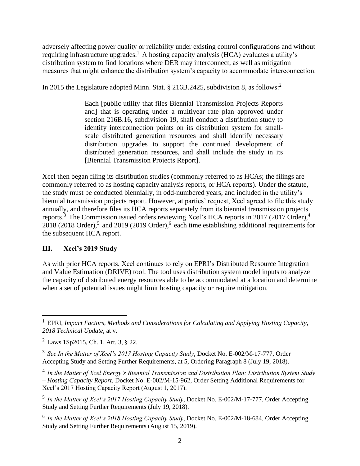adversely affecting power quality or reliability under existing control configurations and without requiring infrastructure upgrades.<sup>1</sup> A hosting capacity analysis (HCA) evaluates a utility's distribution system to find locations where DER may interconnect, as well as mitigation measures that might enhance the distribution system's capacity to accommodate interconnection.

In 2015 the Legislature adopted Minn. Stat. § 216B.2425, subdivision 8, as follows:<sup>2</sup>

Each [public utility that files Biennial Transmission Projects Reports and] that is operating under a multiyear rate plan approved under section 216B.16, subdivision 19, shall conduct a distribution study to identify interconnection points on its distribution system for smallscale distributed generation resources and shall identify necessary distribution upgrades to support the continued development of distributed generation resources, and shall include the study in its [Biennial Transmission Projects Report].

Xcel then began filing its distribution studies (commonly referred to as HCAs; the filings are commonly referred to as hosting capacity analysis reports, or HCA reports). Under the statute, the study must be conducted biennially, in odd-numbered years, and included in the utility's biennial transmission projects report. However, at parties' request, Xcel agreed to file this study annually, and therefore files its HCA reports separately from its biennial transmission projects reports.<sup>3</sup> The Commission issued orders reviewing Xcel's HCA reports in 2017 (2017 Order),<sup>4</sup> 2018 (2018 Order),<sup>5</sup> and 2019 (2019 Order),<sup>6</sup> each time establishing additional requirements for the subsequent HCA report.

#### **III. Xcel's 2019 Study**

 $\overline{a}$ 

As with prior HCA reports, Xcel continues to rely on EPRI's Distributed Resource Integration and Value Estimation (DRIVE) tool. The tool uses distribution system model inputs to analyze the capacity of distributed energy resources able to be accommodated at a location and determine when a set of potential issues might limit hosting capacity or require mitigation.

<sup>1</sup> EPRI, *Impact Factors, Methods and Considerations for Calculating and Applying Hosting Capacity, 2018 Technical Update*, at v.

<sup>2</sup> Laws 1Sp2015, Ch. 1, Art. 3, § 22.

<sup>3</sup> *See In the Matter of Xcel's 2017 Hosting Capacity Study*, Docket No. E-002/M-17-777, Order Accepting Study and Setting Further Requirements, at 5, Ordering Paragraph 8 (July 19, 2018).

<sup>4</sup> *In the Matter of Xcel Energy's Biennial Transmission and Distribution Plan: Distribution System Study – Hosting Capacity Report*, Docket No. E-002/M-15-962, Order Setting Additional Requirements for Xcel's 2017 Hosting Capacity Report (August 1, 2017).

<sup>5</sup> *In the Matter of Xcel's 2017 Hosting Capacity Study*, Docket No. E-002/M-17-777, Order Accepting Study and Setting Further Requirements (July 19, 2018).

<sup>6</sup> *In the Matter of Xcel's 2018 Hosting Capacity Study*, Docket No. E-002/M-18-684, Order Accepting Study and Setting Further Requirements (August 15, 2019).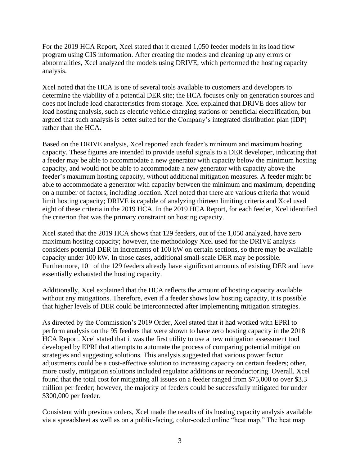For the 2019 HCA Report, Xcel stated that it created 1,050 feeder models in its load flow program using GIS information. After creating the models and cleaning up any errors or abnormalities, Xcel analyzed the models using DRIVE, which performed the hosting capacity analysis.

Xcel noted that the HCA is one of several tools available to customers and developers to determine the viability of a potential DER site; the HCA focuses only on generation sources and does not include load characteristics from storage. Xcel explained that DRIVE does allow for load hosting analysis, such as electric vehicle charging stations or beneficial electrification, but argued that such analysis is better suited for the Company's integrated distribution plan (IDP) rather than the HCA.

Based on the DRIVE analysis, Xcel reported each feeder's minimum and maximum hosting capacity. These figures are intended to provide useful signals to a DER developer, indicating that a feeder may be able to accommodate a new generator with capacity below the minimum hosting capacity, and would not be able to accommodate a new generator with capacity above the feeder's maximum hosting capacity, without additional mitigation measures. A feeder might be able to accommodate a generator with capacity between the minimum and maximum, depending on a number of factors, including location. Xcel noted that there are various criteria that would limit hosting capacity; DRIVE is capable of analyzing thirteen limiting criteria and Xcel used eight of these criteria in the 2019 HCA. In the 2019 HCA Report, for each feeder, Xcel identified the criterion that was the primary constraint on hosting capacity.

Xcel stated that the 2019 HCA shows that 129 feeders, out of the 1,050 analyzed, have zero maximum hosting capacity; however, the methodology Xcel used for the DRIVE analysis considers potential DER in increments of 100 kW on certain sections, so there may be available capacity under 100 kW. In those cases, additional small-scale DER may be possible. Furthermore, 101 of the 129 feeders already have significant amounts of existing DER and have essentially exhausted the hosting capacity.

Additionally, Xcel explained that the HCA reflects the amount of hosting capacity available without any mitigations. Therefore, even if a feeder shows low hosting capacity, it is possible that higher levels of DER could be interconnected after implementing mitigation strategies.

As directed by the Commission's 2019 Order, Xcel stated that it had worked with EPRI to perform analysis on the 95 feeders that were shown to have zero hosting capacity in the 2018 HCA Report. Xcel stated that it was the first utility to use a new mitigation assessment tool developed by EPRI that attempts to automate the process of comparing potential mitigation strategies and suggesting solutions. This analysis suggested that various power factor adjustments could be a cost-effective solution to increasing capacity on certain feeders; other, more costly, mitigation solutions included regulator additions or reconductoring. Overall, Xcel found that the total cost for mitigating all issues on a feeder ranged from \$75,000 to over \$3.3 million per feeder; however, the majority of feeders could be successfully mitigated for under \$300,000 per feeder.

Consistent with previous orders, Xcel made the results of its hosting capacity analysis available via a spreadsheet as well as on a public-facing, color-coded online "heat map." The heat map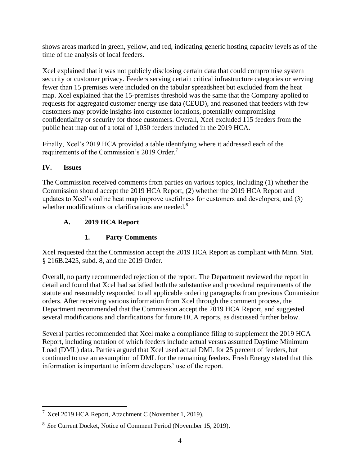shows areas marked in green, yellow, and red, indicating generic hosting capacity levels as of the time of the analysis of local feeders.

Xcel explained that it was not publicly disclosing certain data that could compromise system security or customer privacy. Feeders serving certain critical infrastructure categories or serving fewer than 15 premises were included on the tabular spreadsheet but excluded from the heat map. Xcel explained that the 15-premises threshold was the same that the Company applied to requests for aggregated customer energy use data (CEUD), and reasoned that feeders with few customers may provide insights into customer locations, potentially compromising confidentiality or security for those customers. Overall, Xcel excluded 115 feeders from the public heat map out of a total of 1,050 feeders included in the 2019 HCA.

Finally, Xcel's 2019 HCA provided a table identifying where it addressed each of the requirements of the Commission's 2019 Order.<sup>7</sup>

#### **IV. Issues**

The Commission received comments from parties on various topics, including (1) whether the Commission should accept the 2019 HCA Report, (2) whether the 2019 HCA Report and updates to Xcel's online heat map improve usefulness for customers and developers, and (3) whether modifications or clarifications are needed.<sup>8</sup>

### **A. 2019 HCA Report**

## **1. Party Comments**

Xcel requested that the Commission accept the 2019 HCA Report as compliant with Minn. Stat. § 216B.2425, subd. 8, and the 2019 Order.

Overall, no party recommended rejection of the report. The Department reviewed the report in detail and found that Xcel had satisfied both the substantive and procedural requirements of the statute and reasonably responded to all applicable ordering paragraphs from previous Commission orders. After receiving various information from Xcel through the comment process, the Department recommended that the Commission accept the 2019 HCA Report, and suggested several modifications and clarifications for future HCA reports, as discussed further below.

Several parties recommended that Xcel make a compliance filing to supplement the 2019 HCA Report, including notation of which feeders include actual versus assumed Daytime Minimum Load (DML) data. Parties argued that Xcel used actual DML for 25 percent of feeders, but continued to use an assumption of DML for the remaining feeders. Fresh Energy stated that this information is important to inform developers' use of the report.

 $\overline{a}$  $7$  Xcel 2019 HCA Report, Attachment C (November 1, 2019).

<sup>8</sup> *See* Current Docket, Notice of Comment Period (November 15, 2019).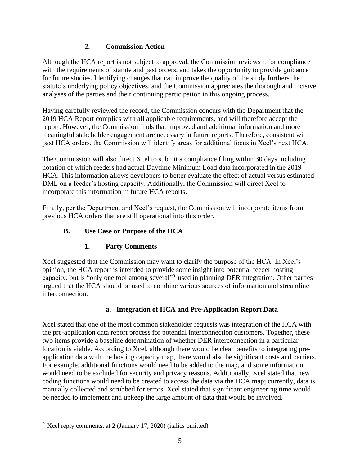#### **2. Commission Action**

Although the HCA report is not subject to approval, the Commission reviews it for compliance with the requirements of statute and past orders, and takes the opportunity to provide guidance for future studies. Identifying changes that can improve the quality of the study furthers the statute's underlying policy objectives, and the Commission appreciates the thorough and incisive analyses of the parties and their continuing participation in this ongoing process.

Having carefully reviewed the record, the Commission concurs with the Department that the 2019 HCA Report complies with all applicable requirements, and will therefore accept the report. However, the Commission finds that improved and additional information and more meaningful stakeholder engagement are necessary in future reports. Therefore, consistent with past HCA orders, the Commission will identify areas for additional focus in Xcel's next HCA.

The Commission will also direct Xcel to submit a compliance filing within 30 days including notation of which feeders had actual Daytime Minimum Load data incorporated in the 2019 HCA. This information allows developers to better evaluate the effect of actual versus estimated DML on a feeder's hosting capacity. Additionally, the Commission will direct Xcel to incorporate this information in future HCA reports.

Finally, per the Department and Xcel's request, the Commission will incorporate items from previous HCA orders that are still operational into this order.

## **B. Use Case or Purpose of the HCA**

### **1. Party Comments**

Xcel suggested that the Commission may want to clarify the purpose of the HCA. In Xcel's opinion, the HCA report is intended to provide some insight into potential feeder hosting capacity, but is "only one tool among several"<sup>9</sup> used in planning DER integration. Other parties argued that the HCA should be used to combine various sources of information and streamline interconnection.

### **a. Integration of HCA and Pre-Application Report Data**

Xcel stated that one of the most common stakeholder requests was integration of the HCA with the pre-application data report process for potential interconnection customers. Together, these two items provide a baseline determination of whether DER interconnection in a particular location is viable. According to Xcel, although there would be clear benefits to integrating preapplication data with the hosting capacity map, there would also be significant costs and barriers. For example, additional functions would need to be added to the map, and some information would need to be excluded for security and privacy reasons. Additionally, Xcel stated that new coding functions would need to be created to access the data via the HCA map; currently, data is manually collected and scrubbed for errors. Xcel stated that significant engineering time would be needed to implement and upkeep the large amount of data that would be involved.

 $\overline{a}$ 

 $9^9$  Xcel reply comments, at 2 (January 17, 2020) (italics omitted).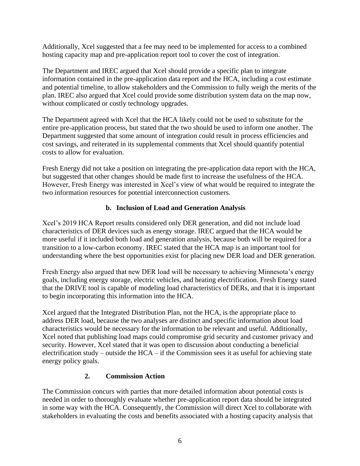Additionally, Xcel suggested that a fee may need to be implemented for access to a combined hosting capacity map and pre-application report tool to cover the cost of integration.

The Department and IREC argued that Xcel should provide a specific plan to integrate information contained in the pre-application data report and the HCA, including a cost estimate and potential timeline, to allow stakeholders and the Commission to fully weigh the merits of the plan. IREC also argued that Xcel could provide some distribution system data on the map now, without complicated or costly technology upgrades.

The Department agreed with Xcel that the HCA likely could not be used to substitute for the entire pre-application process, but stated that the two should be used to inform one another. The Department suggested that some amount of integration could result in process efficiencies and cost savings, and reiterated in its supplemental comments that Xcel should quantify potential costs to allow for evaluation.

Fresh Energy did not take a position on integrating the pre-application data report with the HCA, but suggested that other changes should be made first to increase the usefulness of the HCA. However, Fresh Energy was interested in Xcel's view of what would be required to integrate the two information resources for potential interconnection customers.

#### **b. Inclusion of Load and Generation Analysis**

Xcel's 2019 HCA Report results considered only DER generation, and did not include load characteristics of DER devices such as energy storage. IREC argued that the HCA would be more useful if it included both load and generation analysis, because both will be required for a transition to a low-carbon economy. IREC stated that the HCA map is an important tool for understanding where the best opportunities exist for placing new DER load and DER generation.

Fresh Energy also argued that new DER load will be necessary to achieving Minnesota's energy goals, including energy storage, electric vehicles, and heating electrification. Fresh Energy stated that the DRIVE tool is capable of modeling load characteristics of DERs, and that it is important to begin incorporating this information into the HCA.

Xcel argued that the Integrated Distribution Plan, not the HCA, is the appropriate place to address DER load, because the two analyses are distinct and specific information about load characteristics would be necessary for the information to be relevant and useful. Additionally, Xcel noted that publishing load maps could compromise grid security and customer privacy and security. However, Xcel stated that it was open to discussion about conducting a beneficial electrification study – outside the HCA – if the Commission sees it as useful for achieving state energy policy goals.

#### **2. Commission Action**

The Commission concurs with parties that more detailed information about potential costs is needed in order to thoroughly evaluate whether pre-application report data should be integrated in some way with the HCA. Consequently, the Commission will direct Xcel to collaborate with stakeholders in evaluating the costs and benefits associated with a hosting capacity analysis that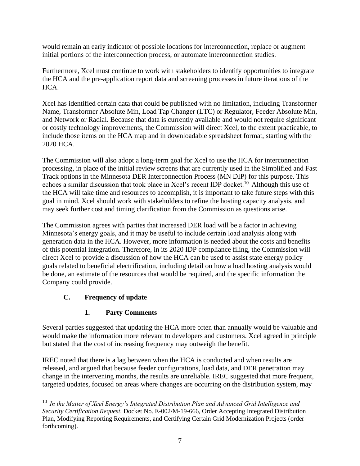would remain an early indicator of possible locations for interconnection, replace or augment initial portions of the interconnection process, or automate interconnection studies.

Furthermore, Xcel must continue to work with stakeholders to identify opportunities to integrate the HCA and the pre-application report data and screening processes in future iterations of the HCA.

Xcel has identified certain data that could be published with no limitation, including Transformer Name, Transformer Absolute Min, Load Tap Changer (LTC) or Regulator, Feeder Absolute Min, and Network or Radial. Because that data is currently available and would not require significant or costly technology improvements, the Commission will direct Xcel, to the extent practicable, to include those items on the HCA map and in downloadable spreadsheet format, starting with the 2020 HCA.

The Commission will also adopt a long-term goal for Xcel to use the HCA for interconnection processing, in place of the initial review screens that are currently used in the Simplified and Fast Track options in the Minnesota DER Interconnection Process (MN DIP) for this purpose. This echoes a similar discussion that took place in Xcel's recent IDP docket.<sup>10</sup> Although this use of the HCA will take time and resources to accomplish, it is important to take future steps with this goal in mind. Xcel should work with stakeholders to refine the hosting capacity analysis, and may seek further cost and timing clarification from the Commission as questions arise.

The Commission agrees with parties that increased DER load will be a factor in achieving Minnesota's energy goals, and it may be useful to include certain load analysis along with generation data in the HCA. However, more information is needed about the costs and benefits of this potential integration. Therefore, in its 2020 IDP compliance filing, the Commission will direct Xcel to provide a discussion of how the HCA can be used to assist state energy policy goals related to beneficial electrification, including detail on how a load hosting analysis would be done, an estimate of the resources that would be required, and the specific information the Company could provide.

### **C. Frequency of update**

 $\overline{a}$ 

# **1. Party Comments**

Several parties suggested that updating the HCA more often than annually would be valuable and would make the information more relevant to developers and customers. Xcel agreed in principle but stated that the cost of increasing frequency may outweigh the benefit.

IREC noted that there is a lag between when the HCA is conducted and when results are released, and argued that because feeder configurations, load data, and DER penetration may change in the intervening months, the results are unreliable. IREC suggested that more frequent, targeted updates, focused on areas where changes are occurring on the distribution system, may

<sup>10</sup> *In the Matter of Xcel Energy's Integrated Distribution Plan and Advanced Grid Intelligence and Security Certification Request*, Docket No. E-002/M-19-666, Order Accepting Integrated Distribution Plan, Modifying Reporting Requirements, and Certifying Certain Grid Modernization Projects (order forthcoming).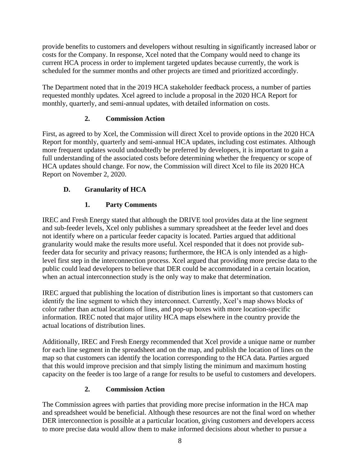provide benefits to customers and developers without resulting in significantly increased labor or costs for the Company. In response, Xcel noted that the Company would need to change its current HCA process in order to implement targeted updates because currently, the work is scheduled for the summer months and other projects are timed and prioritized accordingly.

The Department noted that in the 2019 HCA stakeholder feedback process, a number of parties requested monthly updates. Xcel agreed to include a proposal in the 2020 HCA Report for monthly, quarterly, and semi-annual updates, with detailed information on costs.

#### **2. Commission Action**

First, as agreed to by Xcel, the Commission will direct Xcel to provide options in the 2020 HCA Report for monthly, quarterly and semi-annual HCA updates, including cost estimates. Although more frequent updates would undoubtedly be preferred by developers, it is important to gain a full understanding of the associated costs before determining whether the frequency or scope of HCA updates should change. For now, the Commission will direct Xcel to file its 2020 HCA Report on November 2, 2020.

### **D. Granularity of HCA**

# **1. Party Comments**

IREC and Fresh Energy stated that although the DRIVE tool provides data at the line segment and sub-feeder levels, Xcel only publishes a summary spreadsheet at the feeder level and does not identify where on a particular feeder capacity is located. Parties argued that additional granularity would make the results more useful. Xcel responded that it does not provide subfeeder data for security and privacy reasons; furthermore, the HCA is only intended as a highlevel first step in the interconnection process. Xcel argued that providing more precise data to the public could lead developers to believe that DER could be accommodated in a certain location, when an actual interconnection study is the only way to make that determination.

IREC argued that publishing the location of distribution lines is important so that customers can identify the line segment to which they interconnect. Currently, Xcel's map shows blocks of color rather than actual locations of lines, and pop-up boxes with more location-specific information. IREC noted that major utility HCA maps elsewhere in the country provide the actual locations of distribution lines.

Additionally, IREC and Fresh Energy recommended that Xcel provide a unique name or number for each line segment in the spreadsheet and on the map, and publish the location of lines on the map so that customers can identify the location corresponding to the HCA data. Parties argued that this would improve precision and that simply listing the minimum and maximum hosting capacity on the feeder is too large of a range for results to be useful to customers and developers.

### **2. Commission Action**

The Commission agrees with parties that providing more precise information in the HCA map and spreadsheet would be beneficial. Although these resources are not the final word on whether DER interconnection is possible at a particular location, giving customers and developers access to more precise data would allow them to make informed decisions about whether to pursue a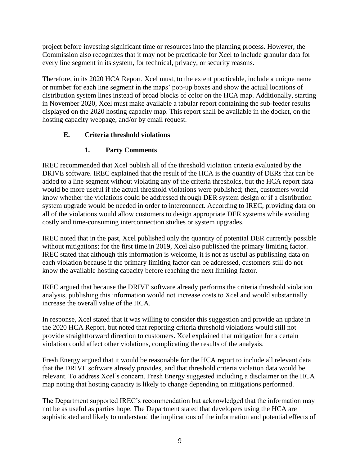project before investing significant time or resources into the planning process. However, the Commission also recognizes that it may not be practicable for Xcel to include granular data for every line segment in its system, for technical, privacy, or security reasons.

Therefore, in its 2020 HCA Report, Xcel must, to the extent practicable, include a unique name or number for each line segment in the maps' pop-up boxes and show the actual locations of distribution system lines instead of broad blocks of color on the HCA map. Additionally, starting in November 2020, Xcel must make available a tabular report containing the sub-feeder results displayed on the 2020 hosting capacity map. This report shall be available in the docket, on the hosting capacity webpage, and/or by email request.

#### **E. Criteria threshold violations**

### **1. Party Comments**

IREC recommended that Xcel publish all of the threshold violation criteria evaluated by the DRIVE software. IREC explained that the result of the HCA is the quantity of DERs that can be added to a line segment without violating any of the criteria thresholds, but the HCA report data would be more useful if the actual threshold violations were published; then, customers would know whether the violations could be addressed through DER system design or if a distribution system upgrade would be needed in order to interconnect. According to IREC, providing data on all of the violations would allow customers to design appropriate DER systems while avoiding costly and time-consuming interconnection studies or system upgrades.

IREC noted that in the past, Xcel published only the quantity of potential DER currently possible without mitigations; for the first time in 2019, Xcel also published the primary limiting factor. IREC stated that although this information is welcome, it is not as useful as publishing data on each violation because if the primary limiting factor can be addressed, customers still do not know the available hosting capacity before reaching the next limiting factor.

IREC argued that because the DRIVE software already performs the criteria threshold violation analysis, publishing this information would not increase costs to Xcel and would substantially increase the overall value of the HCA.

In response, Xcel stated that it was willing to consider this suggestion and provide an update in the 2020 HCA Report, but noted that reporting criteria threshold violations would still not provide straightforward direction to customers. Xcel explained that mitigation for a certain violation could affect other violations, complicating the results of the analysis.

Fresh Energy argued that it would be reasonable for the HCA report to include all relevant data that the DRIVE software already provides, and that threshold criteria violation data would be relevant. To address Xcel's concern, Fresh Energy suggested including a disclaimer on the HCA map noting that hosting capacity is likely to change depending on mitigations performed.

The Department supported IREC's recommendation but acknowledged that the information may not be as useful as parties hope. The Department stated that developers using the HCA are sophisticated and likely to understand the implications of the information and potential effects of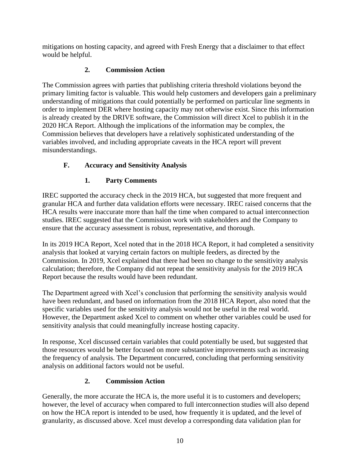mitigations on hosting capacity, and agreed with Fresh Energy that a disclaimer to that effect would be helpful.

## **2. Commission Action**

The Commission agrees with parties that publishing criteria threshold violations beyond the primary limiting factor is valuable. This would help customers and developers gain a preliminary understanding of mitigations that could potentially be performed on particular line segments in order to implement DER where hosting capacity may not otherwise exist. Since this information is already created by the DRIVE software, the Commission will direct Xcel to publish it in the 2020 HCA Report. Although the implications of the information may be complex, the Commission believes that developers have a relatively sophisticated understanding of the variables involved, and including appropriate caveats in the HCA report will prevent misunderstandings.

# **F. Accuracy and Sensitivity Analysis**

# **1. Party Comments**

IREC supported the accuracy check in the 2019 HCA, but suggested that more frequent and granular HCA and further data validation efforts were necessary. IREC raised concerns that the HCA results were inaccurate more than half the time when compared to actual interconnection studies. IREC suggested that the Commission work with stakeholders and the Company to ensure that the accuracy assessment is robust, representative, and thorough.

In its 2019 HCA Report, Xcel noted that in the 2018 HCA Report, it had completed a sensitivity analysis that looked at varying certain factors on multiple feeders, as directed by the Commission. In 2019, Xcel explained that there had been no change to the sensitivity analysis calculation; therefore, the Company did not repeat the sensitivity analysis for the 2019 HCA Report because the results would have been redundant.

The Department agreed with Xcel's conclusion that performing the sensitivity analysis would have been redundant, and based on information from the 2018 HCA Report, also noted that the specific variables used for the sensitivity analysis would not be useful in the real world. However, the Department asked Xcel to comment on whether other variables could be used for sensitivity analysis that could meaningfully increase hosting capacity.

In response, Xcel discussed certain variables that could potentially be used, but suggested that those resources would be better focused on more substantive improvements such as increasing the frequency of analysis. The Department concurred, concluding that performing sensitivity analysis on additional factors would not be useful.

# **2. Commission Action**

Generally, the more accurate the HCA is, the more useful it is to customers and developers; however, the level of accuracy when compared to full interconnection studies will also depend on how the HCA report is intended to be used, how frequently it is updated, and the level of granularity, as discussed above. Xcel must develop a corresponding data validation plan for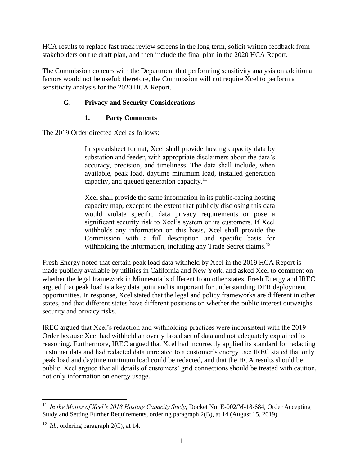HCA results to replace fast track review screens in the long term, solicit written feedback from stakeholders on the draft plan, and then include the final plan in the 2020 HCA Report.

The Commission concurs with the Department that performing sensitivity analysis on additional factors would not be useful; therefore, the Commission will not require Xcel to perform a sensitivity analysis for the 2020 HCA Report.

#### **G. Privacy and Security Considerations**

#### **1. Party Comments**

The 2019 Order directed Xcel as follows:

In spreadsheet format, Xcel shall provide hosting capacity data by substation and feeder, with appropriate disclaimers about the data's accuracy, precision, and timeliness. The data shall include, when available, peak load, daytime minimum load, installed generation capacity, and queued generation capacity.<sup>11</sup>

Xcel shall provide the same information in its public-facing hosting capacity map, except to the extent that publicly disclosing this data would violate specific data privacy requirements or pose a significant security risk to Xcel's system or its customers. If Xcel withholds any information on this basis, Xcel shall provide the Commission with a full description and specific basis for withholding the information, including any Trade Secret claims.<sup>12</sup>

Fresh Energy noted that certain peak load data withheld by Xcel in the 2019 HCA Report is made publicly available by utilities in California and New York, and asked Xcel to comment on whether the legal framework in Minnesota is different from other states. Fresh Energy and IREC argued that peak load is a key data point and is important for understanding DER deployment opportunities. In response, Xcel stated that the legal and policy frameworks are different in other states, and that different states have different positions on whether the public interest outweighs security and privacy risks.

IREC argued that Xcel's redaction and withholding practices were inconsistent with the 2019 Order because Xcel had withheld an overly broad set of data and not adequately explained its reasoning. Furthermore, IREC argued that Xcel had incorrectly applied its standard for redacting customer data and had redacted data unrelated to a customer's energy use; IREC stated that only peak load and daytime minimum load could be redacted, and that the HCA results should be public. Xcel argued that all details of customers' grid connections should be treated with caution, not only information on energy usage.

 $\overline{a}$ 

<sup>11</sup> *In the Matter of Xcel's 2018 Hosting Capacity Study*, Docket No. E-002/M-18-684, Order Accepting Study and Setting Further Requirements, ordering paragraph 2(B), at 14 (August 15, 2019).

<sup>12</sup> *Id.*, ordering paragraph 2(C), at 14.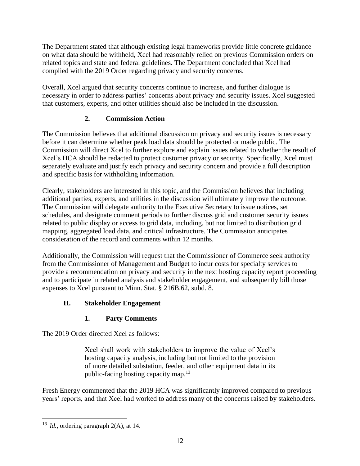The Department stated that although existing legal frameworks provide little concrete guidance on what data should be withheld, Xcel had reasonably relied on previous Commission orders on related topics and state and federal guidelines. The Department concluded that Xcel had complied with the 2019 Order regarding privacy and security concerns.

Overall, Xcel argued that security concerns continue to increase, and further dialogue is necessary in order to address parties' concerns about privacy and security issues. Xcel suggested that customers, experts, and other utilities should also be included in the discussion.

#### **2. Commission Action**

The Commission believes that additional discussion on privacy and security issues is necessary before it can determine whether peak load data should be protected or made public. The Commission will direct Xcel to further explore and explain issues related to whether the result of Xcel's HCA should be redacted to protect customer privacy or security. Specifically, Xcel must separately evaluate and justify each privacy and security concern and provide a full description and specific basis for withholding information.

Clearly, stakeholders are interested in this topic, and the Commission believes that including additional parties, experts, and utilities in the discussion will ultimately improve the outcome. The Commission will delegate authority to the Executive Secretary to issue notices, set schedules, and designate comment periods to further discuss grid and customer security issues related to public display or access to grid data, including, but not limited to distribution grid mapping, aggregated load data, and critical infrastructure. The Commission anticipates consideration of the record and comments within 12 months.

Additionally, the Commission will request that the Commissioner of Commerce seek authority from the Commissioner of Management and Budget to incur costs for specialty services to provide a recommendation on privacy and security in the next hosting capacity report proceeding and to participate in related analysis and stakeholder engagement, and subsequently bill those expenses to Xcel pursuant to Minn. Stat. § 216B.62, subd. 8.

### **H. Stakeholder Engagement**

### **1. Party Comments**

The 2019 Order directed Xcel as follows:

Xcel shall work with stakeholders to improve the value of Xcel's hosting capacity analysis, including but not limited to the provision of more detailed substation, feeder, and other equipment data in its public-facing hosting capacity map.<sup>13</sup>

Fresh Energy commented that the 2019 HCA was significantly improved compared to previous years' reports, and that Xcel had worked to address many of the concerns raised by stakeholders.

 $\overline{a}$ 

<sup>&</sup>lt;sup>13</sup> *Id.*, ordering paragraph 2(A), at 14.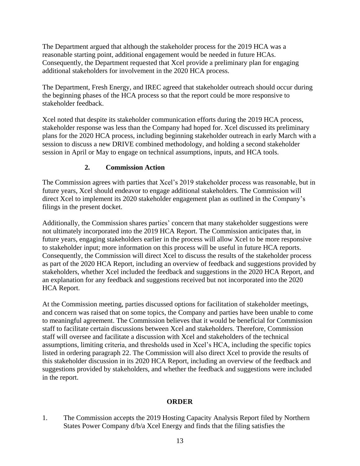The Department argued that although the stakeholder process for the 2019 HCA was a reasonable starting point, additional engagement would be needed in future HCAs. Consequently, the Department requested that Xcel provide a preliminary plan for engaging additional stakeholders for involvement in the 2020 HCA process.

The Department, Fresh Energy, and IREC agreed that stakeholder outreach should occur during the beginning phases of the HCA process so that the report could be more responsive to stakeholder feedback.

Xcel noted that despite its stakeholder communication efforts during the 2019 HCA process, stakeholder response was less than the Company had hoped for. Xcel discussed its preliminary plans for the 2020 HCA process, including beginning stakeholder outreach in early March with a session to discuss a new DRIVE combined methodology, and holding a second stakeholder session in April or May to engage on technical assumptions, inputs, and HCA tools.

#### **2. Commission Action**

The Commission agrees with parties that Xcel's 2019 stakeholder process was reasonable, but in future years, Xcel should endeavor to engage additional stakeholders. The Commission will direct Xcel to implement its 2020 stakeholder engagement plan as outlined in the Company's filings in the present docket.

Additionally, the Commission shares parties' concern that many stakeholder suggestions were not ultimately incorporated into the 2019 HCA Report. The Commission anticipates that, in future years, engaging stakeholders earlier in the process will allow Xcel to be more responsive to stakeholder input; more information on this process will be useful in future HCA reports. Consequently, the Commission will direct Xcel to discuss the results of the stakeholder process as part of the 2020 HCA Report, including an overview of feedback and suggestions provided by stakeholders, whether Xcel included the feedback and suggestions in the 2020 HCA Report, and an explanation for any feedback and suggestions received but not incorporated into the 2020 HCA Report.

At the Commission meeting, parties discussed options for facilitation of stakeholder meetings, and concern was raised that on some topics, the Company and parties have been unable to come to meaningful agreement. The Commission believes that it would be beneficial for Commission staff to facilitate certain discussions between Xcel and stakeholders. Therefore, Commission staff will oversee and facilitate a discussion with Xcel and stakeholders of the technical assumptions, limiting criteria, and thresholds used in Xcel's HCA, including the specific topics listed in ordering paragraph 22. The Commission will also direct Xcel to provide the results of this stakeholder discussion in its 2020 HCA Report, including an overview of the feedback and suggestions provided by stakeholders, and whether the feedback and suggestions were included in the report.

#### **ORDER**

1. The Commission accepts the 2019 Hosting Capacity Analysis Report filed by Northern States Power Company d/b/a Xcel Energy and finds that the filing satisfies the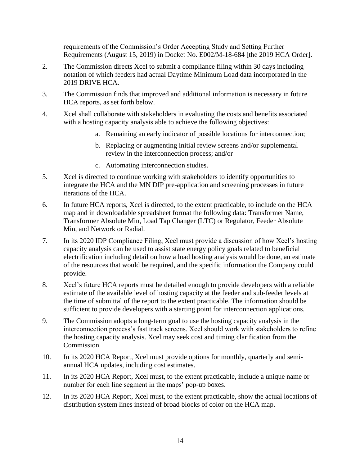requirements of the Commission's Order Accepting Study and Setting Further Requirements (August 15, 2019) in Docket No. E002/M-18-684 [the 2019 HCA Order].

- 2. The Commission directs Xcel to submit a compliance filing within 30 days including notation of which feeders had actual Daytime Minimum Load data incorporated in the 2019 DRIVE HCA.
- 3. The Commission finds that improved and additional information is necessary in future HCA reports, as set forth below.
- 4. Xcel shall collaborate with stakeholders in evaluating the costs and benefits associated with a hosting capacity analysis able to achieve the following objectives:
	- a. Remaining an early indicator of possible locations for interconnection;
	- b. Replacing or augmenting initial review screens and/or supplemental review in the interconnection process; and/or
	- c. Automating interconnection studies.
- 5. Xcel is directed to continue working with stakeholders to identify opportunities to integrate the HCA and the MN DIP pre-application and screening processes in future iterations of the HCA.
- 6. In future HCA reports, Xcel is directed, to the extent practicable, to include on the HCA map and in downloadable spreadsheet format the following data: Transformer Name, Transformer Absolute Min, Load Tap Changer (LTC) or Regulator, Feeder Absolute Min, and Network or Radial.
- 7. In its 2020 IDP Compliance Filing, Xcel must provide a discussion of how Xcel's hosting capacity analysis can be used to assist state energy policy goals related to beneficial electrification including detail on how a load hosting analysis would be done, an estimate of the resources that would be required, and the specific information the Company could provide.
- 8. Xcel's future HCA reports must be detailed enough to provide developers with a reliable estimate of the available level of hosting capacity at the feeder and sub-feeder levels at the time of submittal of the report to the extent practicable. The information should be sufficient to provide developers with a starting point for interconnection applications.
- 9. The Commission adopts a long-term goal to use the hosting capacity analysis in the interconnection process's fast track screens. Xcel should work with stakeholders to refine the hosting capacity analysis. Xcel may seek cost and timing clarification from the Commission.
- 10. In its 2020 HCA Report, Xcel must provide options for monthly, quarterly and semiannual HCA updates, including cost estimates.
- 11. In its 2020 HCA Report, Xcel must, to the extent practicable, include a unique name or number for each line segment in the maps' pop-up boxes.
- 12. In its 2020 HCA Report, Xcel must, to the extent practicable, show the actual locations of distribution system lines instead of broad blocks of color on the HCA map.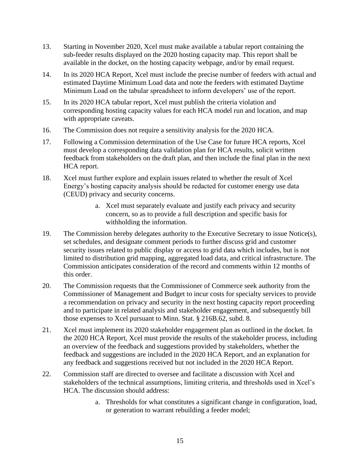- 13. Starting in November 2020, Xcel must make available a tabular report containing the sub-feeder results displayed on the 2020 hosting capacity map. This report shall be available in the docket, on the hosting capacity webpage, and/or by email request.
- 14. In its 2020 HCA Report, Xcel must include the precise number of feeders with actual and estimated Daytime Minimum Load data and note the feeders with estimated Daytime Minimum Load on the tabular spreadsheet to inform developers' use of the report.
- 15. In its 2020 HCA tabular report, Xcel must publish the criteria violation and corresponding hosting capacity values for each HCA model run and location, and map with appropriate caveats.
- 16. The Commission does not require a sensitivity analysis for the 2020 HCA.
- 17. Following a Commission determination of the Use Case for future HCA reports, Xcel must develop a corresponding data validation plan for HCA results, solicit written feedback from stakeholders on the draft plan, and then include the final plan in the next HCA report.
- 18. Xcel must further explore and explain issues related to whether the result of Xcel Energy's hosting capacity analysis should be redacted for customer energy use data (CEUD) privacy and security concerns.
	- a. Xcel must separately evaluate and justify each privacy and security concern, so as to provide a full description and specific basis for withholding the information.
- 19. The Commission hereby delegates authority to the Executive Secretary to issue Notice(s), set schedules, and designate comment periods to further discuss grid and customer security issues related to public display or access to grid data which includes, but is not limited to distribution grid mapping, aggregated load data, and critical infrastructure. The Commission anticipates consideration of the record and comments within 12 months of this order.
- 20. The Commission requests that the Commissioner of Commerce seek authority from the Commissioner of Management and Budget to incur costs for specialty services to provide a recommendation on privacy and security in the next hosting capacity report proceeding and to participate in related analysis and stakeholder engagement, and subsequently bill those expenses to Xcel pursuant to Minn. Stat. § 216B.62, subd. 8.
- 21. Xcel must implement its 2020 stakeholder engagement plan as outlined in the docket. In the 2020 HCA Report, Xcel must provide the results of the stakeholder process, including an overview of the feedback and suggestions provided by stakeholders, whether the feedback and suggestions are included in the 2020 HCA Report, and an explanation for any feedback and suggestions received but not included in the 2020 HCA Report.
- 22. Commission staff are directed to oversee and facilitate a discussion with Xcel and stakeholders of the technical assumptions, limiting criteria, and thresholds used in Xcel's HCA. The discussion should address:
	- a. Thresholds for what constitutes a significant change in configuration, load, or generation to warrant rebuilding a feeder model;